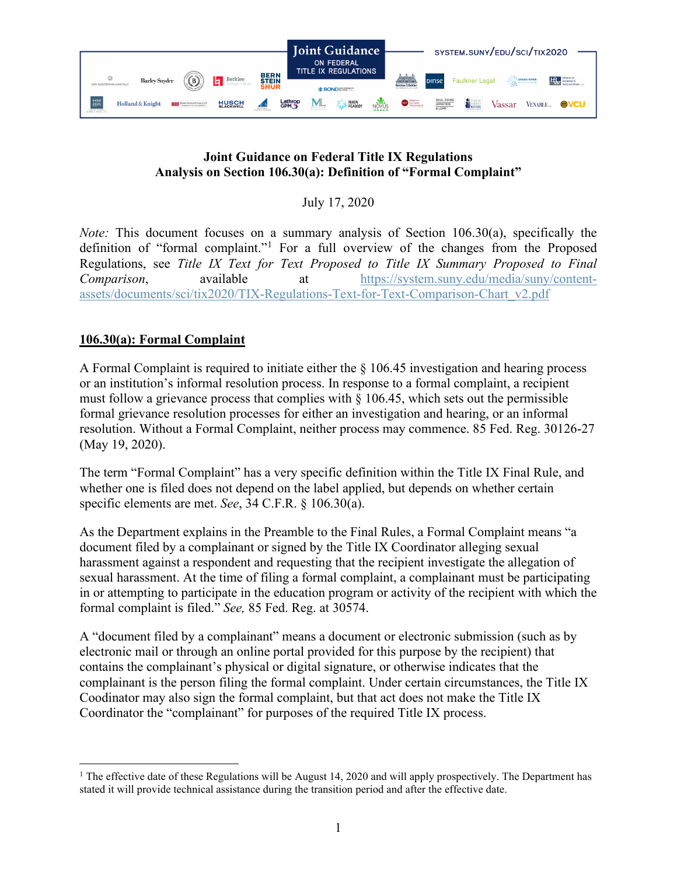

## **Joint Guidance on Federal Title IX Regulations Analysis on Section 106.30(a): Definition of "Formal Complaint"**

July 17, 2020

*Note:* This document focuses on a summary analysis of Section 106.30(a), specifically the definition of "formal complaint."[1](#page-0-0) For a full overview of the changes from the Proposed Regulations, see *Title IX Text for Text Proposed to Title IX Summary Proposed to Final Comparison*, available at [https://system.suny.edu/media/suny/content](https://system.suny.edu/media/suny/content-assets/documents/sci/tix2020/TIX-Regulations-Text-for-Text-Comparison-Chart_v2.pdf)[assets/documents/sci/tix2020/TIX-Regulations-Text-for-Text-Comparison-Chart\\_v2.pdf](https://system.suny.edu/media/suny/content-assets/documents/sci/tix2020/TIX-Regulations-Text-for-Text-Comparison-Chart_v2.pdf)

## **106.30(a): Formal Complaint**

A Formal Complaint is required to initiate either the § 106.45 investigation and hearing process or an institution's informal resolution process. In response to a formal complaint, a recipient must follow a grievance process that complies with  $\S$  106.45, which sets out the permissible formal grievance resolution processes for either an investigation and hearing, or an informal resolution. Without a Formal Complaint, neither process may commence. 85 Fed. Reg. 30126-27 (May 19, 2020).

The term "Formal Complaint" has a very specific definition within the Title IX Final Rule, and whether one is filed does not depend on the label applied, but depends on whether certain specific elements are met. *See*, 34 C.F.R. § 106.30(a).

As the Department explains in the Preamble to the Final Rules, a Formal Complaint means "a document filed by a complainant or signed by the Title IX Coordinator alleging sexual harassment against a respondent and requesting that the recipient investigate the allegation of sexual harassment. At the time of filing a formal complaint, a complainant must be participating in or attempting to participate in the education program or activity of the recipient with which the formal complaint is filed." *See,* 85 Fed. Reg. at 30574.

A "document filed by a complainant" means a document or electronic submission (such as by electronic mail or through an online portal provided for this purpose by the recipient) that contains the complainant's physical or digital signature, or otherwise indicates that the complainant is the person filing the formal complaint. Under certain circumstances, the Title IX Coodinator may also sign the formal complaint, but that act does not make the Title IX Coordinator the "complainant" for purposes of the required Title IX process.

<span id="page-0-0"></span> $1$  The effective date of these Regulations will be August 14, 2020 and will apply prospectively. The Department has stated it will provide technical assistance during the transition period and after the effective date.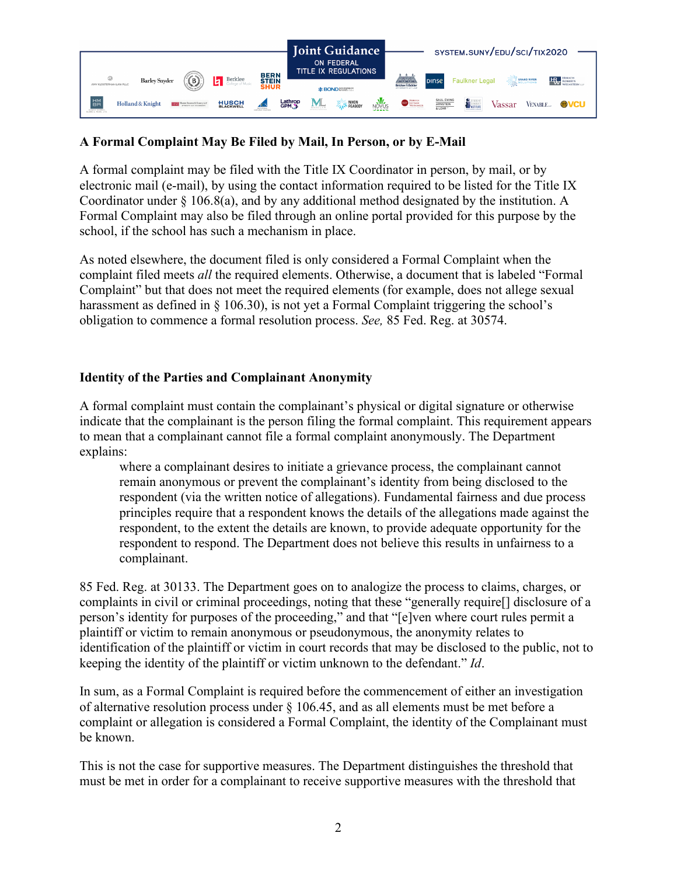

# **A Formal Complaint May Be Filed by Mail, In Person, or by E-Mail**

A formal complaint may be filed with the Title IX Coordinator in person, by mail, or by electronic mail (e-mail), by using the contact information required to be listed for the Title IX Coordinator under § 106.8(a), and by any additional method designated by the institution. A Formal Complaint may also be filed through an online portal provided for this purpose by the school, if the school has such a mechanism in place.

As noted elsewhere, the document filed is only considered a Formal Complaint when the complaint filed meets *all* the required elements. Otherwise, a document that is labeled "Formal Complaint" but that does not meet the required elements (for example, does not allege sexual harassment as defined in  $\S$  106.30), is not yet a Formal Complaint triggering the school's obligation to commence a formal resolution process. *See,* 85 Fed. Reg. at 30574.

## **Identity of the Parties and Complainant Anonymity**

A formal complaint must contain the complainant's physical or digital signature or otherwise indicate that the complainant is the person filing the formal complaint. This requirement appears to mean that a complainant cannot file a formal complaint anonymously. The Department explains:

where a complainant desires to initiate a grievance process, the complainant cannot remain anonymous or prevent the complainant's identity from being disclosed to the respondent (via the written notice of allegations). Fundamental fairness and due process principles require that a respondent knows the details of the allegations made against the respondent, to the extent the details are known, to provide adequate opportunity for the respondent to respond. The Department does not believe this results in unfairness to a complainant.

85 Fed. Reg. at 30133. The Department goes on to analogize the process to claims, charges, or complaints in civil or criminal proceedings, noting that these "generally require[] disclosure of a person's identity for purposes of the proceeding," and that "[e]ven where court rules permit a plaintiff or victim to remain anonymous or pseudonymous, the anonymity relates to identification of the plaintiff or victim in court records that may be disclosed to the public, not to keeping the identity of the plaintiff or victim unknown to the defendant." *Id*.

In sum, as a Formal Complaint is required before the commencement of either an investigation of alternative resolution process under § 106.45, and as all elements must be met before a complaint or allegation is considered a Formal Complaint, the identity of the Complainant must be known.

This is not the case for supportive measures. The Department distinguishes the threshold that must be met in order for a complainant to receive supportive measures with the threshold that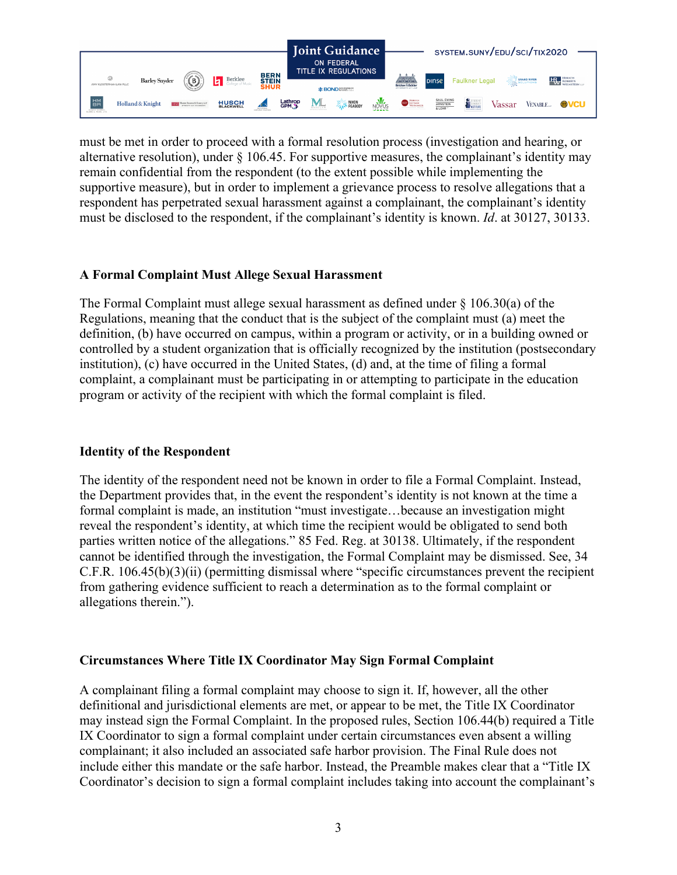

must be met in order to proceed with a formal resolution process (investigation and hearing, or alternative resolution), under  $\S$  106.45. For supportive measures, the complainant's identity may remain confidential from the respondent (to the extent possible while implementing the supportive measure), but in order to implement a grievance process to resolve allegations that a respondent has perpetrated sexual harassment against a complainant, the complainant's identity must be disclosed to the respondent, if the complainant's identity is known. *Id*. at 30127, 30133.

### **A Formal Complaint Must Allege Sexual Harassment**

The Formal Complaint must allege sexual harassment as defined under § 106.30(a) of the Regulations, meaning that the conduct that is the subject of the complaint must (a) meet the definition, (b) have occurred on campus, within a program or activity, or in a building owned or controlled by a student organization that is officially recognized by the institution (postsecondary institution), (c) have occurred in the United States, (d) and, at the time of filing a formal complaint, a complainant must be participating in or attempting to participate in the education program or activity of the recipient with which the formal complaint is filed.

### **Identity of the Respondent**

The identity of the respondent need not be known in order to file a Formal Complaint. Instead, the Department provides that, in the event the respondent's identity is not known at the time a formal complaint is made, an institution "must investigate…because an investigation might reveal the respondent's identity, at which time the recipient would be obligated to send both parties written notice of the allegations." 85 Fed. Reg. at 30138. Ultimately, if the respondent cannot be identified through the investigation, the Formal Complaint may be dismissed. See, 34 C.F.R. 106.45(b)(3)(ii) (permitting dismissal where "specific circumstances prevent the recipient from gathering evidence sufficient to reach a determination as to the formal complaint or allegations therein.").

### **Circumstances Where Title IX Coordinator May Sign Formal Complaint**

A complainant filing a formal complaint may choose to sign it. If, however, all the other definitional and jurisdictional elements are met, or appear to be met, the Title IX Coordinator may instead sign the Formal Complaint. In the proposed rules, Section 106.44(b) required a Title IX Coordinator to sign a formal complaint under certain circumstances even absent a willing complainant; it also included an associated safe harbor provision. The Final Rule does not include either this mandate or the safe harbor. Instead, the Preamble makes clear that a "Title IX Coordinator's decision to sign a formal complaint includes taking into account the complainant's